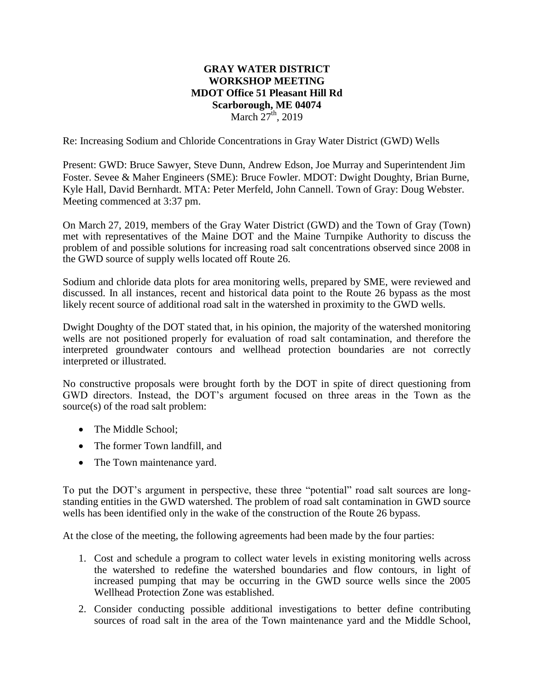## **GRAY WATER DISTRICT WORKSHOP MEETING MDOT Office 51 Pleasant Hill Rd Scarborough, ME 04074** March  $27<sup>th</sup>$ , 2019

Re: Increasing Sodium and Chloride Concentrations in Gray Water District (GWD) Wells

Present: GWD: Bruce Sawyer, Steve Dunn, Andrew Edson, Joe Murray and Superintendent Jim Foster. Sevee & Maher Engineers (SME): Bruce Fowler. MDOT: Dwight Doughty, Brian Burne, Kyle Hall, David Bernhardt. MTA: Peter Merfeld, John Cannell. Town of Gray: Doug Webster. Meeting commenced at 3:37 pm.

On March 27, 2019, members of the Gray Water District (GWD) and the Town of Gray (Town) met with representatives of the Maine DOT and the Maine Turnpike Authority to discuss the problem of and possible solutions for increasing road salt concentrations observed since 2008 in the GWD source of supply wells located off Route 26.

Sodium and chloride data plots for area monitoring wells, prepared by SME, were reviewed and discussed. In all instances, recent and historical data point to the Route 26 bypass as the most likely recent source of additional road salt in the watershed in proximity to the GWD wells.

Dwight Doughty of the DOT stated that, in his opinion, the majority of the watershed monitoring wells are not positioned properly for evaluation of road salt contamination, and therefore the interpreted groundwater contours and wellhead protection boundaries are not correctly interpreted or illustrated.

No constructive proposals were brought forth by the DOT in spite of direct questioning from GWD directors. Instead, the DOT's argument focused on three areas in the Town as the source(s) of the road salt problem:

- The Middle School:
- The former Town landfill, and
- The Town maintenance yard.

To put the DOT's argument in perspective, these three "potential" road salt sources are longstanding entities in the GWD watershed. The problem of road salt contamination in GWD source wells has been identified only in the wake of the construction of the Route 26 bypass.

At the close of the meeting, the following agreements had been made by the four parties:

- 1. Cost and schedule a program to collect water levels in existing monitoring wells across the watershed to redefine the watershed boundaries and flow contours, in light of increased pumping that may be occurring in the GWD source wells since the 2005 Wellhead Protection Zone was established.
- 2. Consider conducting possible additional investigations to better define contributing sources of road salt in the area of the Town maintenance yard and the Middle School,